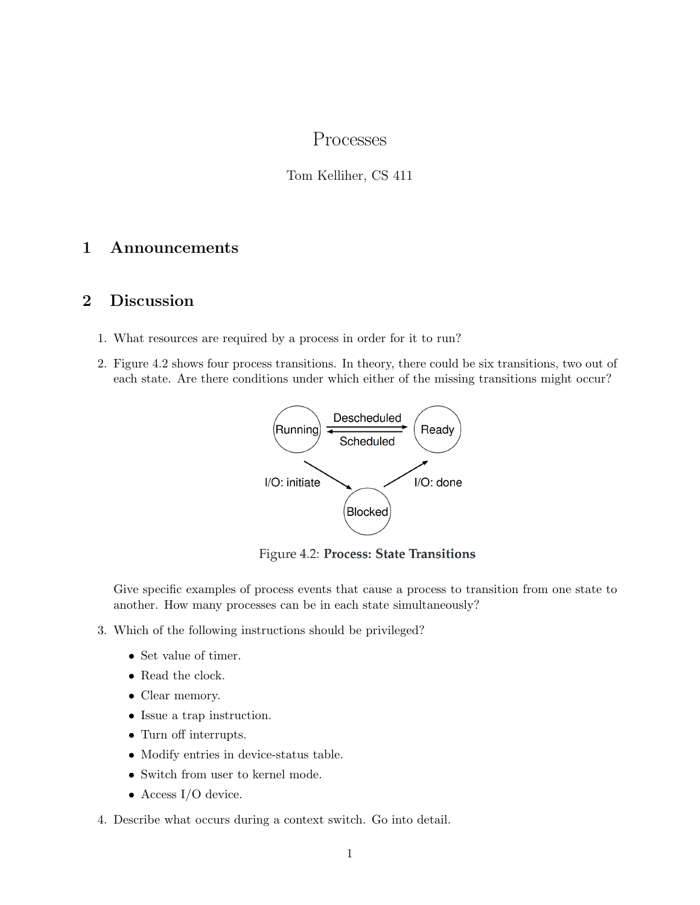# Processes

### Tom Kelliher, CS 411

## 1 Announcements

### 2 Discussion

- 1. What resources are required by a process in order for it to run?
- 2. Figure 4.2 shows four process transitions. In theory, there could be six transitions, two out of each state. Are there conditions under which either of the missing transitions might occur?



Figure 4.2: Process: State Transitions

Give specific examples of process events that cause a process to transition from one state to another. How many processes can be in each state simultaneously?

- 3. Which of the following instructions should be privileged?
	- Set value of timer.
	- Read the clock.
	- Clear memory.
	- Issue a trap instruction.
	- Turn off interrupts.
	- Modify entries in device-status table.
	- Switch from user to kernel mode.
	- Access I/O device.
- 4. Describe what occurs during a context switch. Go into detail.